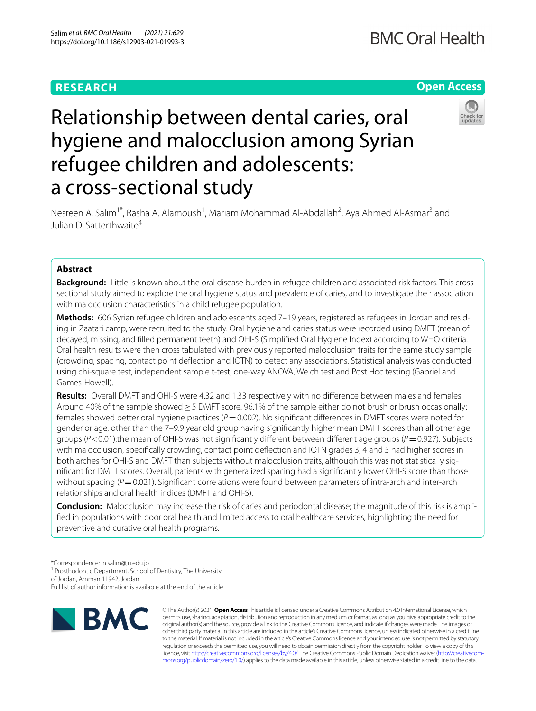# **RESEARCH**

# **Open Access**



# Relationship between dental caries, oral hygiene and malocclusion among Syrian refugee children and adolescents: a cross-sectional study

Nesreen A. Salim<sup>1\*</sup>, Rasha A. Alamoush<sup>1</sup>, Mariam Mohammad Al-Abdallah<sup>2</sup>, Aya Ahmed Al-Asmar<sup>3</sup> and Julian D. Satterthwaite4

## **Abstract**

**Background:** Little is known about the oral disease burden in refugee children and associated risk factors. This crosssectional study aimed to explore the oral hygiene status and prevalence of caries, and to investigate their association with malocclusion characteristics in a child refugee population.

**Methods:** 606 Syrian refugee children and adolescents aged 7–19 years, registered as refugees in Jordan and resid‑ ing in Zaatari camp, were recruited to the study. Oral hygiene and caries status were recorded using DMFT (mean of decayed, missing, and flled permanent teeth) and OHI-S (Simplifed Oral Hygiene Index) according to WHO criteria. Oral health results were then cross tabulated with previously reported malocclusion traits for the same study sample (crowding, spacing, contact point defection and IOTN) to detect any associations. Statistical analysis was conducted using chi-square test, independent sample t-test, one-way ANOVA, Welch test and Post Hoc testing (Gabriel and Games-Howell).

**Results:** Overall DMFT and OHI-S were 4.32 and 1.33 respectively with no diference between males and females. Around 40% of the sample showed≥5 DMFT score. 96.1% of the sample either do not brush or brush occasionally: females showed better oral hygiene practices ( $P=0.002$ ). No significant differences in DMFT scores were noted for gender or age, other than the 7–9.9 year old group having signifcantly higher mean DMFT scores than all other age groups (*P*<0.01);the mean of OHI-S was not signifcantly diferent between diferent age groups (*P*=0.927). Subjects with malocclusion, specifcally crowding, contact point defection and IOTN grades 3, 4 and 5 had higher scores in both arches for OHI-S and DMFT than subjects without malocclusion traits, although this was not statistically signifcant for DMFT scores. Overall, patients with generalized spacing had a signifcantly lower OHI-S score than those without spacing (*P* = 0.021). Significant correlations were found between parameters of intra-arch and inter-arch relationships and oral health indices (DMFT and OHI-S).

**Conclusion:** Malocclusion may increase the risk of caries and periodontal disease; the magnitude of this risk is amplifed in populations with poor oral health and limited access to oral healthcare services, highlighting the need for preventive and curative oral health programs.

\*Correspondence: n.salim@ju.edu.jo

<sup>1</sup> Prosthodontic Department, School of Dentistry, The University of Jordan, Amman 11942, Jordan

Full list of author information is available at the end of the article



© The Author(s) 2021. **Open Access** This article is licensed under a Creative Commons Attribution 4.0 International License, which permits use, sharing, adaptation, distribution and reproduction in any medium or format, as long as you give appropriate credit to the original author(s) and the source, provide a link to the Creative Commons licence, and indicate if changes were made. The images or other third party material in this article are included in the article's Creative Commons licence, unless indicated otherwise in a credit line to the material. If material is not included in the article's Creative Commons licence and your intended use is not permitted by statutory regulation or exceeds the permitted use, you will need to obtain permission directly from the copyright holder. To view a copy of this licence, visit [http://creativecommons.org/licenses/by/4.0/.](http://creativecommons.org/licenses/by/4.0/) The Creative Commons Public Domain Dedication waiver (http://creativecom[mons.org/publicdomain/zero/1.0/\)](http://creativecommons.org/publicdomain/zero/1.0/) applies to the data made available in this article, unless otherwise stated in a credit line to the data.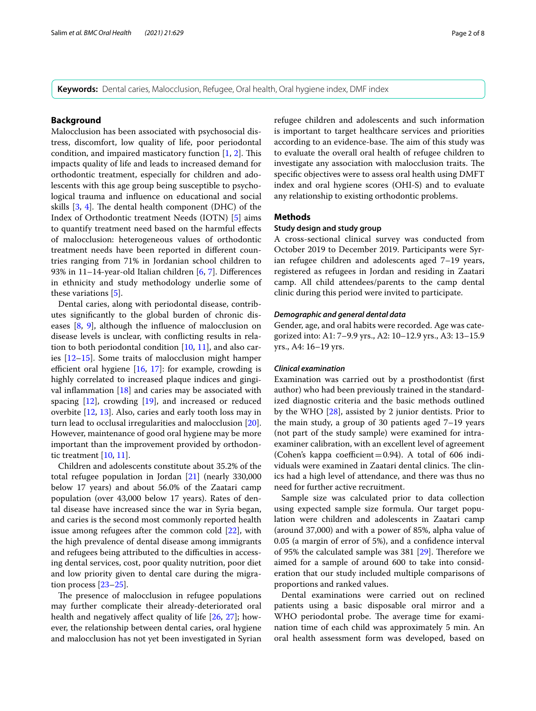**Keywords:** Dental caries, Malocclusion, Refugee, Oral health, Oral hygiene index, DMF index

## **Background**

Malocclusion has been associated with psychosocial distress, discomfort, low quality of life, poor periodontal condition, and impaired masticatory function  $[1, 2]$  $[1, 2]$  $[1, 2]$ . This impacts quality of life and leads to increased demand for orthodontic treatment, especially for children and adolescents with this age group being susceptible to psychological trauma and infuence on educational and social skills  $[3, 4]$  $[3, 4]$  $[3, 4]$  $[3, 4]$  $[3, 4]$ . The dental health component (DHC) of the Index of Orthodontic treatment Needs (IOTN) [\[5\]](#page-7-4) aims to quantify treatment need based on the harmful efects of malocclusion: heterogeneous values of orthodontic treatment needs have been reported in diferent countries ranging from 71% in Jordanian school children to 93% in 11–14-year-old Italian children [\[6](#page-7-5), [7](#page-7-6)]. Diferences in ethnicity and study methodology underlie some of these variations [\[5](#page-7-4)].

Dental caries, along with periodontal disease, contributes signifcantly to the global burden of chronic diseases [\[8](#page-7-7), [9](#page-7-8)], although the infuence of malocclusion on disease levels is unclear, with conficting results in relation to both periodontal condition [[10,](#page-7-9) [11](#page-7-10)], and also caries [[12](#page-7-11)[–15](#page-7-12)]. Some traits of malocclusion might hamper efficient oral hygiene  $[16, 17]$  $[16, 17]$  $[16, 17]$  $[16, 17]$ : for example, crowding is highly correlated to increased plaque indices and gingival infammation [\[18\]](#page-7-15) and caries may be associated with spacing [\[12](#page-7-11)], crowding [\[19\]](#page-7-16), and increased or reduced overbite [[12,](#page-7-11) [13\]](#page-7-17). Also, caries and early tooth loss may in turn lead to occlusal irregularities and malocclusion [\[20](#page-7-18)]. However, maintenance of good oral hygiene may be more important than the improvement provided by orthodontic treatment [\[10](#page-7-9), [11](#page-7-10)].

Children and adolescents constitute about 35.2% of the total refugee population in Jordan [\[21](#page-7-19)] (nearly 330,000 below 17 years) and about 56.0% of the Zaatari camp population (over 43,000 below 17 years). Rates of dental disease have increased since the war in Syria began, and caries is the second most commonly reported health issue among refugees after the common cold [\[22](#page-7-20)], with the high prevalence of dental disease among immigrants and refugees being attributed to the difficulties in accessing dental services, cost, poor quality nutrition, poor diet and low priority given to dental care during the migration process [[23](#page-7-21)[–25](#page-7-22)].

The presence of malocclusion in refugee populations may further complicate their already-deteriorated oral health and negatively affect quality of life [[26](#page-7-23), [27\]](#page-7-24); however, the relationship between dental caries, oral hygiene and malocclusion has not yet been investigated in Syrian refugee children and adolescents and such information is important to target healthcare services and priorities according to an evidence-base. The aim of this study was to evaluate the overall oral health of refugee children to investigate any association with malocclusion traits. The specifc objectives were to assess oral health using DMFT index and oral hygiene scores (OHI-S) and to evaluate any relationship to existing orthodontic problems.

## **Methods**

## **Study design and study group**

A cross-sectional clinical survey was conducted from October 2019 to December 2019. Participants were Syrian refugee children and adolescents aged 7–19 years, registered as refugees in Jordan and residing in Zaatari camp. All child attendees/parents to the camp dental clinic during this period were invited to participate.

## *Demographic and general dental data*

Gender, age, and oral habits were recorded. Age was categorized into: A1: 7–9.9 yrs., A2: 10–12.9 yrs., A3: 13–15.9 yrs., A4: 16–19 yrs.

## *Clinical examination*

Examination was carried out by a prosthodontist (frst author) who had been previously trained in the standardized diagnostic criteria and the basic methods outlined by the WHO [[28\]](#page-7-25), assisted by 2 junior dentists. Prior to the main study, a group of 30 patients aged 7–19 years (not part of the study sample) were examined for intraexaminer calibration, with an excellent level of agreement (Cohen's kappa coefficient=0.94). A total of 606 individuals were examined in Zaatari dental clinics. The clinics had a high level of attendance, and there was thus no need for further active recruitment.

Sample size was calculated prior to data collection using expected sample size formula. Our target population were children and adolescents in Zaatari camp (around 37,000) and with a power of 85%, alpha value of 0.05 (a margin of error of 5%), and a confdence interval of 95% the calculated sample was  $381$  [\[29](#page-7-26)]. Therefore we aimed for a sample of around 600 to take into consideration that our study included multiple comparisons of proportions and ranked values.

Dental examinations were carried out on reclined patients using a basic disposable oral mirror and a WHO periodontal probe. The average time for examination time of each child was approximately 5 min. An oral health assessment form was developed, based on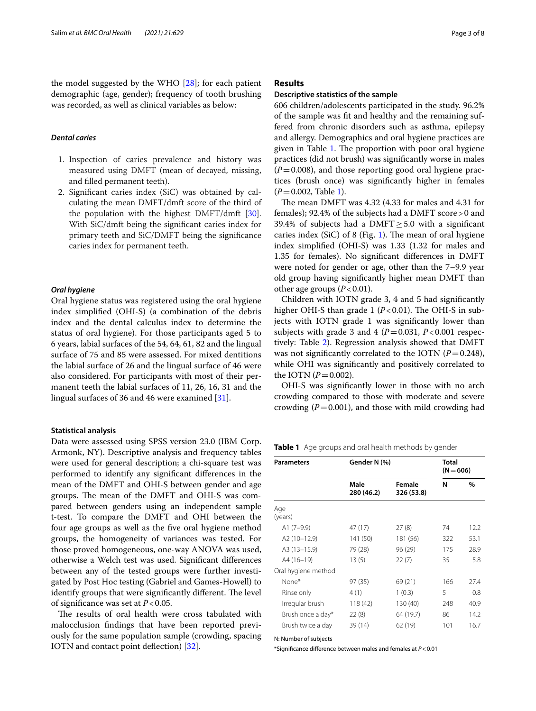the model suggested by the WHO [\[28](#page-7-25)]; for each patient demographic (age, gender); frequency of tooth brushing was recorded, as well as clinical variables as below:

## *Dental caries*

- 1. Inspection of caries prevalence and history was measured using DMFT (mean of decayed, missing, and flled permanent teeth).
- 2. Signifcant caries index (SiC) was obtained by calculating the mean DMFT/dmft score of the third of the population with the highest DMFT/dmft [[30](#page-7-27)]. With SiC/dmft being the signifcant caries index for primary teeth and SiC/DMFT being the signifcance caries index for permanent teeth.

## *Oral hygiene*

Oral hygiene status was registered using the oral hygiene index simplifed (OHI-S) (a combination of the debris index and the dental calculus index to determine the status of oral hygiene). For those participants aged 5 to 6 years, labial surfaces of the 54, 64, 61, 82 and the lingual surface of 75 and 85 were assessed. For mixed dentitions the labial surface of 26 and the lingual surface of 46 were also considered. For participants with most of their permanent teeth the labial surfaces of 11, 26, 16, 31 and the lingual surfaces of 36 and 46 were examined [[31](#page-7-28)].

#### **Statistical analysis**

Data were assessed using SPSS version 23.0 (IBM Corp. Armonk, NY). Descriptive analysis and frequency tables were used for general description; a chi-square test was performed to identify any signifcant diferences in the mean of the DMFT and OHI-S between gender and age groups. The mean of the DMFT and OHI-S was compared between genders using an independent sample t-test. To compare the DMFT and OHI between the four age groups as well as the fve oral hygiene method groups, the homogeneity of variances was tested. For those proved homogeneous, one-way ANOVA was used, otherwise a Welch test was used. Signifcant diferences between any of the tested groups were further investigated by Post Hoc testing (Gabriel and Games-Howell) to identify groups that were significantly different. The level of signifcance was set at *P*<0.05.

The results of oral health were cross tabulated with malocclusion fndings that have been reported previously for the same population sample (crowding, spacing IOTN and contact point defection) [[32\]](#page-7-29).

## **Results**

### **Descriptive statistics of the sample**

606 children/adolescents participated in the study. 96.2% of the sample was ft and healthy and the remaining suffered from chronic disorders such as asthma, epilepsy and allergy. Demographics and oral hygiene practices are given in Table [1](#page-2-0). The proportion with poor oral hygiene practices (did not brush) was signifcantly worse in males  $(P=0.008)$ , and those reporting good oral hygiene practices (brush once) was signifcantly higher in females (*P*=0.002, Table [1](#page-2-0)).

The mean DMFT was  $4.32$  (4.33 for males and  $4.31$  for females); 92.4% of the subjects had a DMFT score>0 and 39.4% of subjects had a DMFT $\geq$ 5.0 with a significant caries index (SiC) of 8 (Fig. [1](#page-3-0)). The mean of oral hygiene index simplifed (OHI-S) was 1.33 (1.32 for males and 1.35 for females). No signifcant diferences in DMFT were noted for gender or age, other than the 7–9.9 year old group having signifcantly higher mean DMFT than other age groups  $(P<0.01)$ .

Children with IOTN grade 3, 4 and 5 had signifcantly higher OHI-S than grade 1  $(P<0.01)$ . The OHI-S in subjects with IOTN grade 1 was signifcantly lower than subjects with grade 3 and 4 ( $P=0.031$ ,  $P<0.001$  respectively: Table [2](#page-3-1)). Regression analysis showed that DMFT was not significantly correlated to the IOTN  $(P=0.248)$ , while OHI was signifcantly and positively correlated to the IOTN  $(P = 0.002)$ .

OHI-S was signifcantly lower in those with no arch crowding compared to those with moderate and severe crowding  $(P=0.001)$ , and those with mild crowding had

<span id="page-2-0"></span>**Table 1** Age groups and oral health methods by gender

| <b>Parameters</b>   | Gender N (%)       | <b>Total</b><br>$(N = 606)$ |     |      |
|---------------------|--------------------|-----------------------------|-----|------|
|                     | Male<br>280 (46.2) | Female<br>326 (53.8)        | N   | $\%$ |
| Age<br>(years)      |                    |                             |     |      |
| A1 $(7-9.9)$        | 47 (17)            | 27(8)                       | 74  | 12.2 |
| A2 (10-12.9)        | 141 (50)           | 181 (56)                    | 322 | 53.1 |
| A3 (13-15.9)        | 79 (28)            | 96 (29)                     | 175 | 28.9 |
| A4 (16-19)          | 13(5)              | 22(7)                       | 35  | 5.8  |
| Oral hygiene method |                    |                             |     |      |
| None*               | 97(35)             | 69(21)                      | 166 | 27.4 |
| Rinse only          | 4(1)               | 1(0.3)                      | 5   | 0.8  |
| Irregular brush     | 118 (42)           | 130 (40)                    | 248 | 40.9 |
| Brush once a day*   | 22(8)              | 64 (19.7)                   | 86  | 14.2 |
| Brush twice a day   | 39 (14)            | 62(19)                      | 101 | 16.7 |

N: Number of subjects

\*Signifcance diference between males and females at *P*<0.01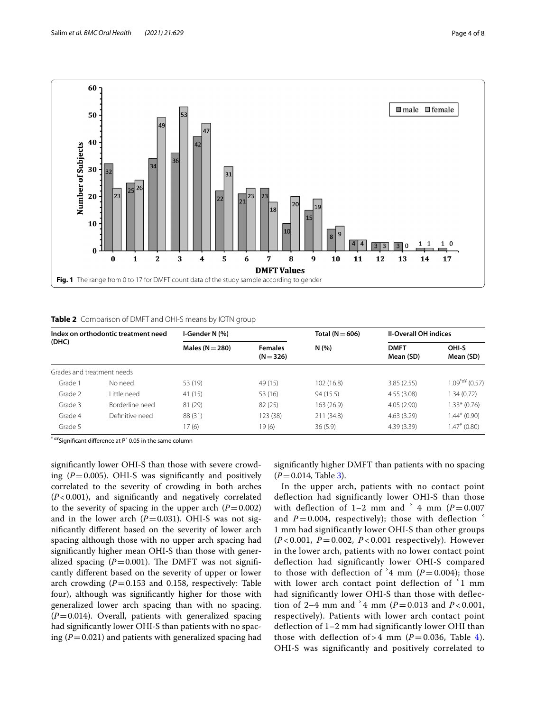

<span id="page-3-1"></span><span id="page-3-0"></span>**Table 2** Comparison of DMFT and OHI-S means by IOTN group

| Index on orthodontic treatment need<br>(DHC) |                 | I-Gender N (%)                                       |          | Total ( $N = 606$ ) | <b>II-Overall OH indices</b> |                         |
|----------------------------------------------|-----------------|------------------------------------------------------|----------|---------------------|------------------------------|-------------------------|
|                                              |                 | Males ( $N = 280$ )<br><b>Females</b><br>$(N = 326)$ |          | N(%)                | <b>DMFT</b><br>Mean (SD)     | OHI-S<br>Mean (SD)      |
| Grades and treatment needs                   |                 |                                                      |          |                     |                              |                         |
| Grade 1                                      | No need         | 53 (19)                                              | 49 (15)  | 102(16.8)           | 3.85(2.55)                   | $1.09^{\text{A}}(0.57)$ |
| Grade 2                                      | l ittle need    | 41 (15)                                              | 53 (16)  | 94 (15.5)           | 4.55(3.08)                   | 1.34 (0.72)             |
| Grade 3                                      | Borderline need | 81 (29)                                              | 82(25)   | 163 (26.9)          | 4.05(2.90)                   | 1.33* (0.76)            |
| Grade 4                                      | Definitive need | 88 (31)                                              | 123 (38) | 211 (34.8)          | 4.63(3.29)                   | $1.44^{\circ}$ (0.90)   |
| Grade 5                                      |                 | 17(6)                                                | 19(6)    | 36(5.9)             | 4.39(3.39)                   | $1.47^*$ (0.80)         |

 $^{\circ}$   $^{\alpha}$ ¥Significant difference at P $^{\circ}$  0.05 in the same column

signifcantly lower OHI-S than those with severe crowding  $(P=0.005)$ . OHI-S was significantly and positively correlated to the severity of crowding in both arches (*P*<0.001), and signifcantly and negatively correlated to the severity of spacing in the upper arch  $(P=0.002)$ and in the lower arch  $(P=0.031)$ . OHI-S was not signifcantly diferent based on the severity of lower arch spacing although those with no upper arch spacing had signifcantly higher mean OHI-S than those with generalized spacing  $(P=0.001)$ . The DMFT was not significantly diferent based on the severity of upper or lower arch crowding  $(P=0.153$  and 0.158, respectively: Table four), although was signifcantly higher for those with generalized lower arch spacing than with no spacing.  $(P=0.014)$ . Overall, patients with generalized spacing had signifcantly lower OHI-S than patients with no spacing  $(P=0.021)$  and patients with generalized spacing had signifcantly higher DMFT than patients with no spacing  $(P=0.014,$  Table [3](#page-4-0)).

In the upper arch, patients with no contact point deflection had significantly lower OHI-S than those with deflection of  $1-2$  mm and  $\frac{3}{4}$  mm ( $P = 0.007$ ) and  $P = 0.004$ , respectively); those with deflection 1 mm had significantly lower OHI-S than other groups (*P* < 0.001, *P* = 0.002, *P* < 0.001 respectively). However in the lower arch, patients with no lower contact point deflection had significantly lower OHI-S compared to those with deflection of  $4 \text{ mm}$  ( $P = 0.004$ ); those with lower arch contact point deflection of  $\leq 1$  mm had significantly lower OHI-S than those with deflection of 2–4 mm and  $\degree$  4 mm (*P* = 0.013 and *P* < 0.001, respectively). Patients with lower arch contact point deflection of 1–2 mm had significantly lower OHI than those with deflection of > 4 mm ( $P = 0.036$ , Table [4\)](#page-4-1). OHI-S was significantly and positively correlated to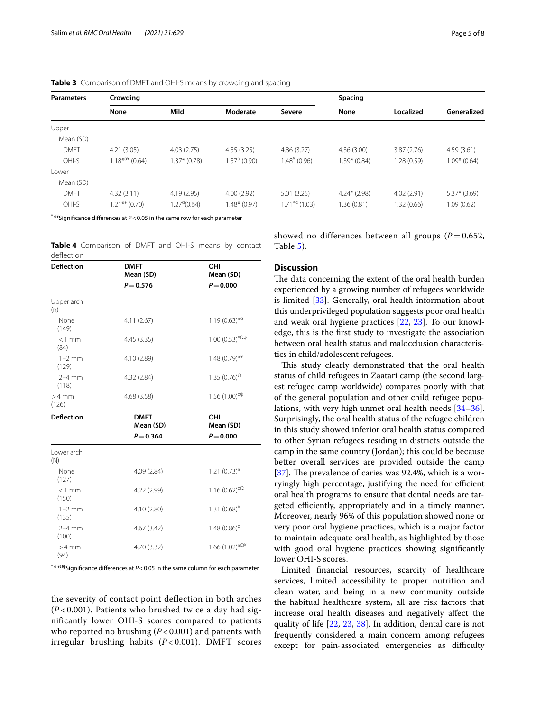| <b>Parameters</b> | Crowding        |                       |                       |                    | Spacing        |             |               |  |
|-------------------|-----------------|-----------------------|-----------------------|--------------------|----------------|-------------|---------------|--|
|                   | None            | Mild                  | Moderate              | Severe             | None           | Localized   | Generalized   |  |
| Upper             |                 |                       |                       |                    |                |             |               |  |
| Mean (SD)         |                 |                       |                       |                    |                |             |               |  |
| <b>DMFT</b>       | 4.21(3.05)      | 4.03(2.75)            | 4.55(3.25)            | 4.86(3.27)         | 4.36(3.00)     | 3.87(2.76)  | 4.59(3.61)    |  |
| OHI-S             | $1.18***(0.64)$ | $1.37*$ (0.78)        | $.57^{\alpha}$ (0.90) | $1.484$ (0.96)     | $1.39*$ (0.84) | 1.28 (0.59) | $1.09*(0.64)$ |  |
| Lower             |                 |                       |                       |                    |                |             |               |  |
| Mean (SD)         |                 |                       |                       |                    |                |             |               |  |
| <b>DMFT</b>       | 4.32(3.11)      | 4.19(2.95)            | 4.00(2.92)            | 5.01(3.25)         | $4.24*$ (2.98) | 4.02(2.91)  | $5.37*(3.69)$ |  |
| OHI-S             | $1.21**$ (0.70) | $1.27^{\alpha}(0.64)$ | $.48*(0.97)$          | $1.71^{4a}$ (1.03) | 1.36 (0.81)    | 1.32 (0.66) | 1.09 (0.62)   |  |

<span id="page-4-0"></span>**Table 3** Comparison of DMFT and OHI-S means by crowding and spacing

\* α¥Signifcance diferences at *P*<0.05 in the same row for each parameter

<span id="page-4-1"></span>

|            | Table 4 Comparison of DMFT and OHI-S means by contact |  |  |  |  |
|------------|-------------------------------------------------------|--|--|--|--|
| deflection |                                                       |  |  |  |  |

| <b>Deflection</b> | <b>DMFT</b><br>Mean (SD) | OHI<br>Mean (SD)                             |
|-------------------|--------------------------|----------------------------------------------|
|                   | $P = 0.576$              | $P = 0.000$                                  |
| Upper arch<br>(n) |                          |                                              |
| None<br>(149)     | 4.11(2.67)               | $1.19(0.63)$ <sup>*a</sup>                   |
| $<$ 1 mm<br>(84)  | 4.45(3.35)               | 1.00 $(0.53)^{4\Omega\psi}$                  |
| $1-2$ mm<br>(129) | 4.10 (2.89)              | $1.48(0.79)*$ <sup>**</sup>                  |
| $2-4$ mm<br>(118) | 4.32 (2.84)              | 1.35 $(0.76)$ <sup><math>\Omega</math></sup> |
| $>4$ mm<br>(126)  | 4.68 (3.58)              | $1.56(1.00)^{\alpha\psi}$                    |
| <b>Deflection</b> | <b>DMFT</b><br>Mean (SD) | OHI<br>Mean (SD)                             |
|                   | $P = 0.364$              | $P = 0.000$                                  |
| Lower arch<br>(N) |                          |                                              |
| None<br>(127)     | 4.09 (2.84)              | $1.21(0.73)$ *                               |
| $<1$ mm<br>(150)  | 4.22 (2.99)              | 1.16 $(0.62)^{\alpha\Omega}$                 |
| $1-2$ mm<br>(135) | 4.10 (2.80)              | $1.31(0.68)^{*}$                             |
| $2-4$ mm<br>(100) | 4.67 (3.42)              | 1.48 $(0.86)^\alpha$                         |
| $>4$ mm<br>(94)   | 4.70 (3.32)              | $1.66(1.02)*^{\Omega*}$                      |

\* α ¥ΩψSignifcance diferences at *P*<0.05 in the same column for each parameter

the severity of contact point deflection in both arches (*P* < 0.001). Patients who brushed twice a day had significantly lower OHI-S scores compared to patients who reported no brushing (*P* < 0.001) and patients with irregular brushing habits (*P* < 0.001). DMFT scores showed no differences between all groups  $(P=0.652)$ , Table [5\)](#page-5-0).

## **Discussion**

The data concerning the extent of the oral health burden experienced by a growing number of refugees worldwide is limited [[33](#page-7-30)]. Generally, oral health information about this underprivileged population suggests poor oral health and weak oral hygiene practices [\[22](#page-7-20), [23\]](#page-7-21). To our knowledge, this is the frst study to investigate the association between oral health status and malocclusion characteristics in child/adolescent refugees.

This study clearly demonstrated that the oral health status of child refugees in Zaatari camp (the second largest refugee camp worldwide) compares poorly with that of the general population and other child refugee populations, with very high unmet oral health needs [[34](#page-7-31)[–36](#page-7-32)]. Surprisingly, the oral health status of the refugee children in this study showed inferior oral health status compared to other Syrian refugees residing in districts outside the camp in the same country (Jordan); this could be because better overall services are provided outside the camp [[37\]](#page-7-33). The prevalence of caries was  $92.4\%$ , which is a worryingly high percentage, justifying the need for efficient oral health programs to ensure that dental needs are targeted efficiently, appropriately and in a timely manner. Moreover, nearly 96% of this population showed none or very poor oral hygiene practices, which is a major factor to maintain adequate oral health, as highlighted by those with good oral hygiene practices showing signifcantly lower OHI-S scores.

Limited fnancial resources, scarcity of healthcare services, limited accessibility to proper nutrition and clean water, and being in a new community outside the habitual healthcare system, all are risk factors that increase oral health diseases and negatively afect the quality of life [[22,](#page-7-20) [23](#page-7-21), [38](#page-7-34)]. In addition, dental care is not frequently considered a main concern among refugees except for pain-associated emergencies as difficulty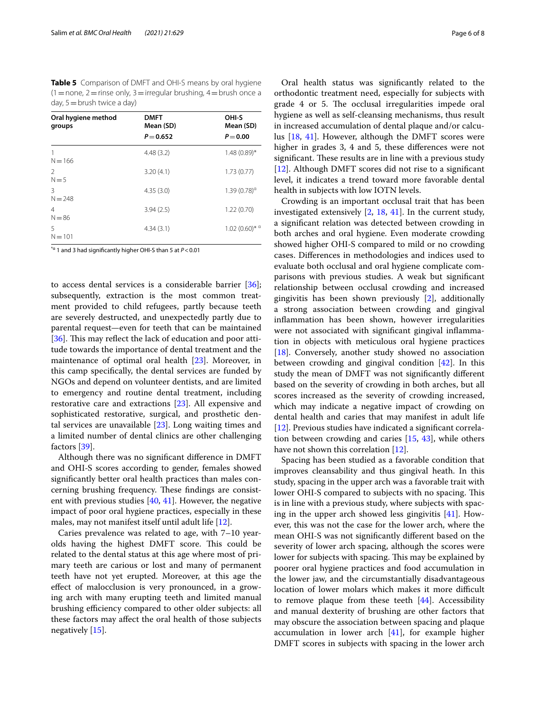<span id="page-5-0"></span>**Table 5** Comparison of DMFT and OHI-S means by oral hygiene  $(1=$  none,  $2=$  rinse only,  $3=$  irregular brushing,  $4=$  brush once a day, 5=brush twice a day)

| Oral hygiene method<br>groups | <b>DMFT</b><br>Mean (SD) | OHI-S<br>Mean (SD)    |  |  |
|-------------------------------|--------------------------|-----------------------|--|--|
|                               | $P = 0.652$              | $P = 0.00$            |  |  |
| $N = 166$                     | 4.48(3.2)                | $1.48(0.89)$ *        |  |  |
| 2<br>$N = 5$                  | 3.20(4.1)                | 1.73(0.77)            |  |  |
| 3<br>$N = 248$                | 4.35(3.0)                | $1.39(0.78)^{\alpha}$ |  |  |
| $\overline{4}$<br>$N = 86$    | 3.94(2.5)                | 1.22(0.70)            |  |  |
| 5<br>$N = 101$                | 4.34(3.1)                | $1.02(0.60)*a$        |  |  |

\*α 1 and 3 had signifcantly higher OHI-S than 5 at *P*<0.01

to access dental services is a considerable barrier [\[36](#page-7-32)]; subsequently, extraction is the most common treatment provided to child refugees, partly because teeth are severely destructed, and unexpectedly partly due to parental request—even for teeth that can be maintained [[36\]](#page-7-32). This may reflect the lack of education and poor attitude towards the importance of dental treatment and the maintenance of optimal oral health [\[23](#page-7-21)]. Moreover, in this camp specifcally, the dental services are funded by NGOs and depend on volunteer dentists, and are limited to emergency and routine dental treatment, including restorative care and extractions [\[23](#page-7-21)]. All expensive and sophisticated restorative, surgical, and prosthetic dental services are unavailable [[23\]](#page-7-21). Long waiting times and a limited number of dental clinics are other challenging factors [\[39\]](#page-7-35).

Although there was no signifcant diference in DMFT and OHI-S scores according to gender, females showed signifcantly better oral health practices than males concerning brushing frequency. These findings are consistent with previous studies  $[40, 41]$  $[40, 41]$  $[40, 41]$  $[40, 41]$ . However, the negative impact of poor oral hygiene practices, especially in these males, may not manifest itself until adult life [[12\]](#page-7-11).

Caries prevalence was related to age, with 7–10 yearolds having the highest DMFT score. This could be related to the dental status at this age where most of primary teeth are carious or lost and many of permanent teeth have not yet erupted. Moreover, at this age the efect of malocclusion is very pronounced, in a growing arch with many erupting teeth and limited manual brushing efficiency compared to other older subjects: all these factors may afect the oral health of those subjects negatively [\[15\]](#page-7-12).

Oral health status was signifcantly related to the orthodontic treatment need, especially for subjects with grade 4 or 5. The occlusal irregularities impede oral hygiene as well as self-cleansing mechanisms, thus result in increased accumulation of dental plaque and/or calculus [\[18](#page-7-15), [41](#page-7-37)]. However, although the DMFT scores were higher in grades 3, 4 and 5, these differences were not significant. These results are in line with a previous study [[12\]](#page-7-11). Although DMFT scores did not rise to a signifcant level, it indicates a trend toward more favorable dental health in subjects with low IOTN levels.

Crowding is an important occlusal trait that has been investigated extensively [\[2](#page-7-1), [18](#page-7-15), [41\]](#page-7-37). In the current study, a signifcant relation was detected between crowding in both arches and oral hygiene. Even moderate crowding showed higher OHI-S compared to mild or no crowding cases. Diferences in methodologies and indices used to evaluate both occlusal and oral hygiene complicate comparisons with previous studies. A weak but signifcant relationship between occlusal crowding and increased gingivitis has been shown previously [[2\]](#page-7-1), additionally a strong association between crowding and gingival infammation has been shown, however irregularities were not associated with signifcant gingival infammation in objects with meticulous oral hygiene practices [[18\]](#page-7-15). Conversely, another study showed no association between crowding and gingival condition [\[42](#page-7-38)]. In this study the mean of DMFT was not signifcantly diferent based on the severity of crowding in both arches, but all scores increased as the severity of crowding increased, which may indicate a negative impact of crowding on dental health and caries that may manifest in adult life [[12\]](#page-7-11). Previous studies have indicated a signifcant correlation between crowding and caries [\[15](#page-7-12), [43\]](#page-7-39), while others have not shown this correlation [[12\]](#page-7-11).

Spacing has been studied as a favorable condition that improves cleansability and thus gingival heath. In this study, spacing in the upper arch was a favorable trait with lower OHI-S compared to subjects with no spacing. This is in line with a previous study, where subjects with spacing in the upper arch showed less gingivitis [\[41](#page-7-37)]. However, this was not the case for the lower arch, where the mean OHI-S was not signifcantly diferent based on the severity of lower arch spacing, although the scores were lower for subjects with spacing. This may be explained by poorer oral hygiene practices and food accumulation in the lower jaw, and the circumstantially disadvantageous location of lower molars which makes it more difficult to remove plaque from these teeth [\[44](#page-7-40)]. Accessibility and manual dexterity of brushing are other factors that may obscure the association between spacing and plaque accumulation in lower arch [\[41](#page-7-37)], for example higher DMFT scores in subjects with spacing in the lower arch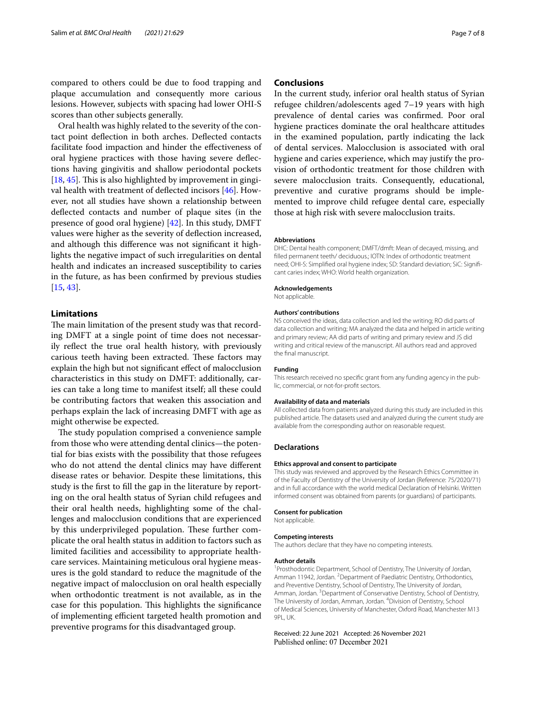compared to others could be due to food trapping and plaque accumulation and consequently more carious lesions. However, subjects with spacing had lower OHI-S scores than other subjects generally.

Oral health was highly related to the severity of the contact point defection in both arches. Defected contacts facilitate food impaction and hinder the efectiveness of oral hygiene practices with those having severe defections having gingivitis and shallow periodontal pockets [[18,](#page-7-15) [45](#page-7-41)]. This is also highlighted by improvement in gingival health with treatment of defected incisors [[46](#page-7-42)]. However, not all studies have shown a relationship between defected contacts and number of plaque sites (in the presence of good oral hygiene) [[42](#page-7-38)]. In this study, DMFT values were higher as the severity of defection increased, and although this diference was not signifcant it highlights the negative impact of such irregularities on dental health and indicates an increased susceptibility to caries in the future, as has been confrmed by previous studies [[15,](#page-7-12) [43](#page-7-39)].

## **Limitations**

The main limitation of the present study was that recording DMFT at a single point of time does not necessarily refect the true oral health history, with previously carious teeth having been extracted. These factors may explain the high but not signifcant efect of malocclusion characteristics in this study on DMFT: additionally, caries can take a long time to manifest itself; all these could be contributing factors that weaken this association and perhaps explain the lack of increasing DMFT with age as might otherwise be expected.

The study population comprised a convenience sample from those who were attending dental clinics—the potential for bias exists with the possibility that those refugees who do not attend the dental clinics may have diferent disease rates or behavior. Despite these limitations, this study is the frst to fll the gap in the literature by reporting on the oral health status of Syrian child refugees and their oral health needs, highlighting some of the challenges and malocclusion conditions that are experienced by this underprivileged population. These further complicate the oral health status in addition to factors such as limited facilities and accessibility to appropriate healthcare services. Maintaining meticulous oral hygiene measures is the gold standard to reduce the magnitude of the negative impact of malocclusion on oral health especially when orthodontic treatment is not available, as in the case for this population. This highlights the significance of implementing efficient targeted health promotion and preventive programs for this disadvantaged group.

## **Conclusions**

In the current study, inferior oral health status of Syrian refugee children/adolescents aged 7–19 years with high prevalence of dental caries was confrmed. Poor oral hygiene practices dominate the oral healthcare attitudes in the examined population, partly indicating the lack of dental services. Malocclusion is associated with oral hygiene and caries experience, which may justify the provision of orthodontic treatment for those children with severe malocclusion traits. Consequently, educational, preventive and curative programs should be implemented to improve child refugee dental care, especially those at high risk with severe malocclusion traits.

#### **Abbreviations**

DHC: Dental health component; DMFT/dmft: Mean of decayed, missing, and flled permanent teeth/ deciduous.; IOTN: Index of orthodontic treatment need; OHI-S: Simplified oral hygiene index; SD: Standard deviation; SiC: Significant caries index; WHO: World health organization.

#### **Acknowledgements**

Not applicable.

#### **Authors' contributions**

NS conceived the ideas, data collection and led the writing; RO did parts of data collection and writing; MA analyzed the data and helped in article writing and primary review; AA did parts of writing and primary review and JS did writing and critical review of the manuscript. All authors read and approved the fnal manuscript.

### **Funding**

This research received no specific grant from any funding agency in the public, commercial, or not-for-proft sectors.

#### **Availability of data and materials**

All collected data from patients analyzed during this study are included in this published article. The datasets used and analyzed during the current study are available from the corresponding author on reasonable request.

#### **Declarations**

#### **Ethics approval and consent to participate**

This study was reviewed and approved by the Research Ethics Committee in of the Faculty of Dentistry of the University of Jordan (Reference: 75/2020/71) and in full accordance with the world medical Declaration of Helsinki. Written informed consent was obtained from parents (or guardians) of participants.

#### **Consent for publication**

Not applicable.

#### **Competing interests**

The authors declare that they have no competing interests.

#### **Author details**

<sup>1</sup> Prosthodontic Department, School of Dentistry, The University of Jordan, Amman 11942, Jordan. <sup>2</sup> Department of Paediatric Dentistry, Orthodontics, and Preventive Dentistry, School of Dentistry, The University of Jordan, Amman, Jordan. <sup>3</sup> Department of Conservative Dentistry, School of Dentistry, The University of Jordan, Amman, Jordan. <sup>4</sup> Division of Dentistry, School of Medical Sciences, University of Manchester, Oxford Road, Manchester M13 9PL, UK.

#### Received: 22 June 2021 Accepted: 26 November 2021Published online: 07 December 2021